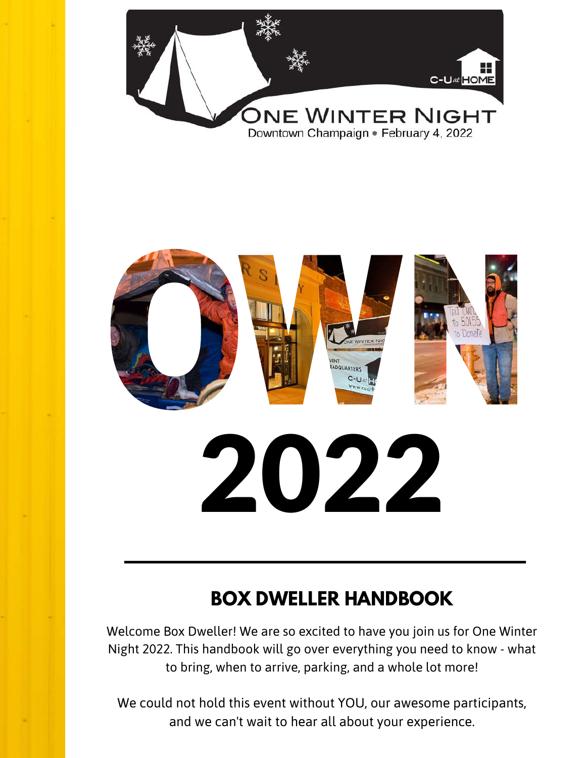



### **BOX DWELLER HANDBOOK**

Welcome Box Dweller! We are so excited to have you join us for One Winter Night 2022. This handbook will go over everything you need to know - what to bring, when to arrive, parking, and a whole lot more!

We could not hold this event without YOU, our awesome participants, and we can't wait to hear all about your experience.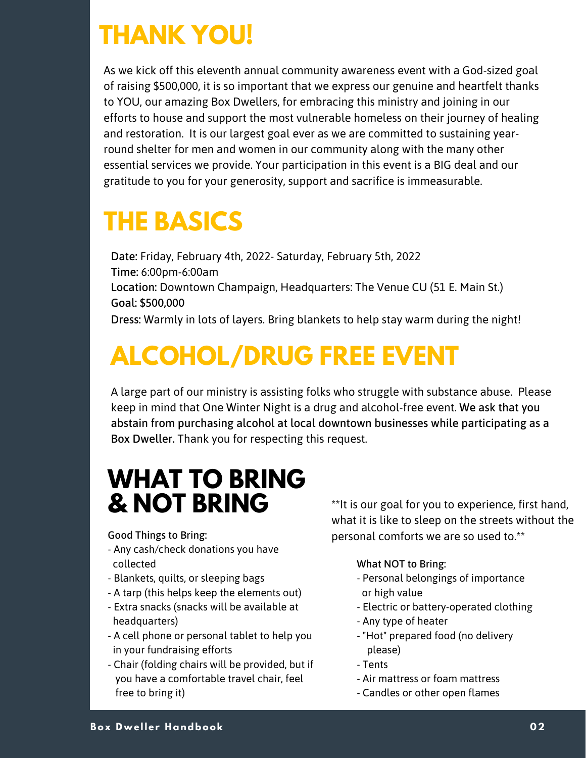# **THANK YOU!**

As we kick off this eleventh annual community awareness event with a God-sized goal of raising \$500,000, it is so important that we express our genuine and heartfelt thanks to YOU, our amazing Box Dwellers, for embracing this ministry and joining in our efforts to house and support the most vulnerable homeless on their journey of healing and restoration. It is our largest goal ever as we are committed to sustaining yearround shelter for men and women in our community along with the many other essential services we provide. Your participation in this event is a BIG deal and our gratitude to you for your generosity, support and sacrifice is immeasurable.

# **THE BASICS**

Date: Friday, February 4th, 2022- Saturday, February 5th, 2022 Time: 6:00pm-6:00am Location: Downtown Champaign, Headquarters: The Venue CU (51 E. Main St.) Goal: \$500,000 Dress: Warmly in lots of layers. Bring blankets to help stay warm during the night!

# **ALCOHOL/DRUG FREE EVENT**

A large part of our ministry is assisting folks who struggle with substance abuse. Please keep in mind that One Winter Night is a drug and alcohol-free event. We ask that you abstain from purchasing alcohol at local downtown businesses while participating as a Box Dweller. Thank you for respecting this request.

# **WHAT TO BRING**

- Any cash/check donations you have collected
- Blankets, quilts, or sleeping bags
- A tarp (this helps keep the elements out)
- Extra snacks (snacks will be available at headquarters)
- A cell phone or personal tablet to help you in your fundraising efforts
- Chair (folding chairs will be provided, but if you have a comfortable travel chair, feel free to bring it)

\*\*It is our goal for you to experience, first hand, what it is like to sleep on the streets without the Good Things to Bring: example are so used to.\*\*

#### What NOT to Bring:

- Personal belongings of importance or high value
- Electric or battery-operated clothing
- Any type of heater
- "Hot" prepared food (no delivery please)
- Tents
- Air mattress or foam mattress
- Candles or other open flames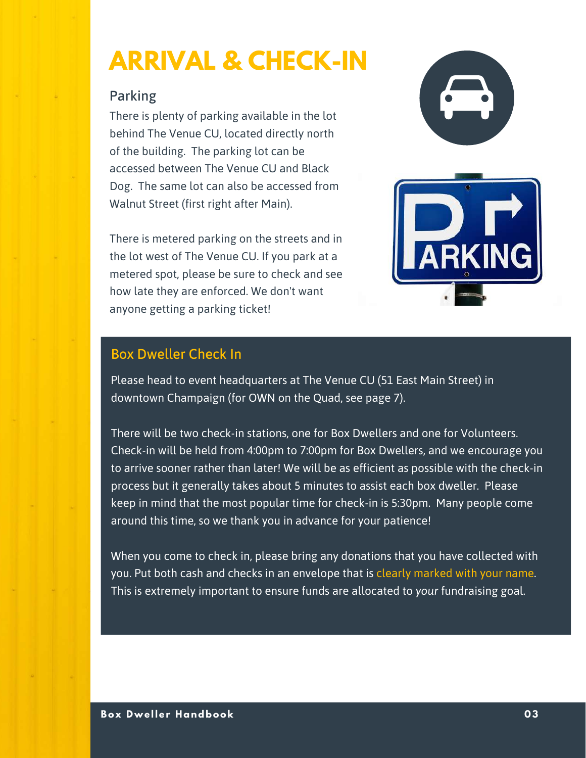# **ARRIVAL & CHECK-IN**

### Parking

There is plenty of parking available in the lot behind The Venue CU, located directly north of the building. The parking lot can be accessed between The Venue CU and Black Dog. The same lot can also be accessed from Walnut Street (first right after Main).

There is metered parking on the streets and in the lot west of The Venue CU. If you park at a metered spot, please be sure to check and see how late they are enforced. We don't want anyone getting a parking ticket!





### Box Dweller Check In

Please head to event headquarters at The Venue CU (51 East Main Street) in downtown Champaign (for OWN on the Quad, see page 7).

There will be two check-in stations, one for Box Dwellers and one for Volunteers. Check-in will be held from 4:00pm to 7:00pm for Box Dwellers, and we encourage you to arrive sooner rather than later! We will be as efficient as possible with the check-in process but it generally takes about 5 minutes to assist each box dweller. Please keep in mind that the most popular time for check-in is 5:30pm. Many people come around this time, so we thank you in advance for your patience!

When you come to check in, please bring any donations that you have collected with you. Put both cash and checks in an envelope that is clearly marked with your name. This is extremely important to ensure funds are allocated to *your* fundraising goal.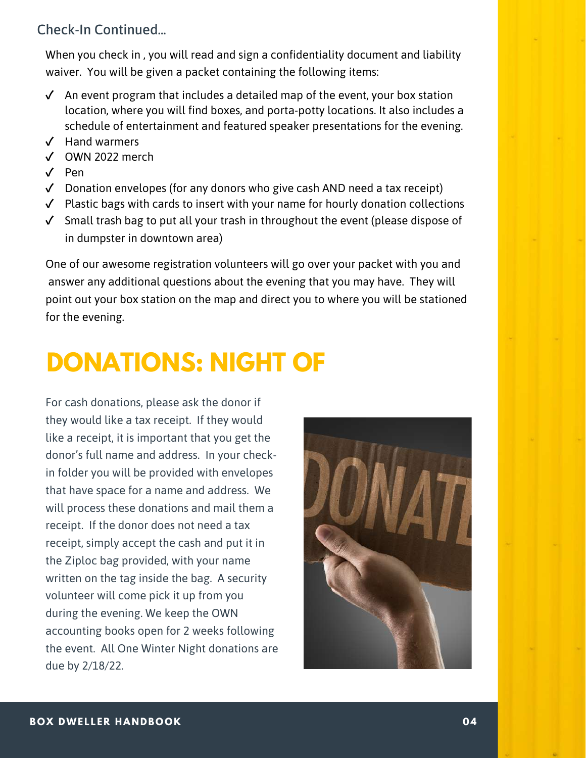### Check-In Continued...

When you check in , you will read and sign a confidentiality document and liability waiver. You will be given a packet containing the following items:

- ✓ An event program that includes a detailed map of the event, your box station location, where you will find boxes, and porta-potty locations. It also includes a schedule of entertainment and featured speaker presentations for the evening.
- ✓ Hand warmers
- ✓ OWN 2022 merch
- ✓ Pen
- ✓ Donation envelopes (for any donors who give cash AND need a tax receipt)
- ✓ Plastic bags with cards to insert with your name for hourly donation collections
- ✓ Small trash bag to put all your trash in throughout the event (please dispose of in dumpster in downtown area)

One of our awesome registration volunteers will go over your packet with you and answer any additional questions about the evening that you may have. They will point out your box station on the map and direct you to where you will be stationed for the evening.

# **DONATIONS: NIGHT OF**

For cash donations, please ask the donor if they would like a tax receipt. If they would like a receipt, it is important that you get the donor's full name and address. In your checkin folder you will be provided with envelopes that have space for a name and address. We will process these donations and mail them a receipt. If the donor does not need a tax receipt, simply accept the cash and put it in the Ziploc bag provided, with your name written on the tag inside the bag. A security volunteer will come pick it up from you during the evening. We keep the OWN accounting books open for 2 weeks following the event. All One Winter Night donations are due by 2/18/22.

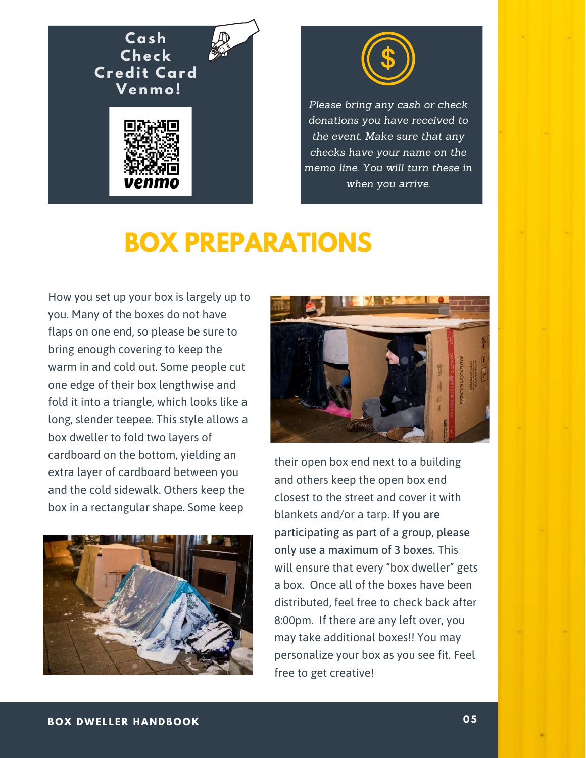



*Please bring any cash or check donations you have received to the event. Make sure that any checks have your name on the memo line. You will turn these in when you arrive.*

## **BOX PREPARATIONS**

How you set up your box is largely up to you. Many of the boxes do not have flaps on one end, so please be sure to bring enough covering to keep the warm in and cold out. Some people cut one edge of their box lengthwise and fold it into a triangle, which looks like a long, slender teepee. This style allows a box dweller to fold two layers of cardboard on the bottom, yielding an extra layer of cardboard between you and the cold sidewalk. Others keep the box in a rectangular shape. Some keep





their open box end next to a building and others keep the open box end closest to the street and cover it with blankets and/or a tarp. If you are participating as part of a group, please only use a maximum of 3 boxes. This will ensure that every "box dweller" gets a box. Once all of the boxes have been distributed, feel free to check back after 8:00pm. If there are any left over, you may take additional boxes!! You may personalize your box as you see fit. Feel free to get creative!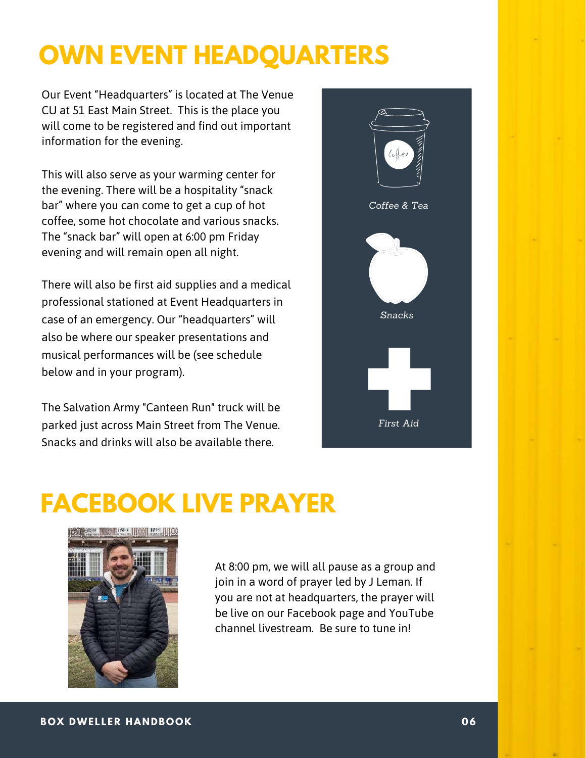# **OWN EVENT HEADQUARTERS**

Our Event "Headquarters" is located at The Venue CU at 51 East Main Street. This is the place you will come to be registered and find out important information for the evening.

This will also serve as your warming center for the evening. There will be a hospitality "snack bar" where you can come to get a cup of hot coffee, some hot chocolate and various snacks. The "snack bar" will open at 6:00 pm Friday evening and will remain open all night.

There will also be first aid supplies and a medical professional stationed at Event Headquarters in case of an emergency. Our "headquarters" will also be where our speaker presentations and musical performances will be (see schedule below and in your program).

The Salvation Army "Canteen Run" truck will be parked just across Main Street from The Venue. Snacks and drinks will also be available there.



# **FACEBOOK LIVE PRAYER**



At 8:00 pm, we will all pause as a group and join in a word of prayer led by J Leman. If you are not at headquarters, the prayer will be live on our Facebook page and YouTube channel livestream. Be sure to tune in!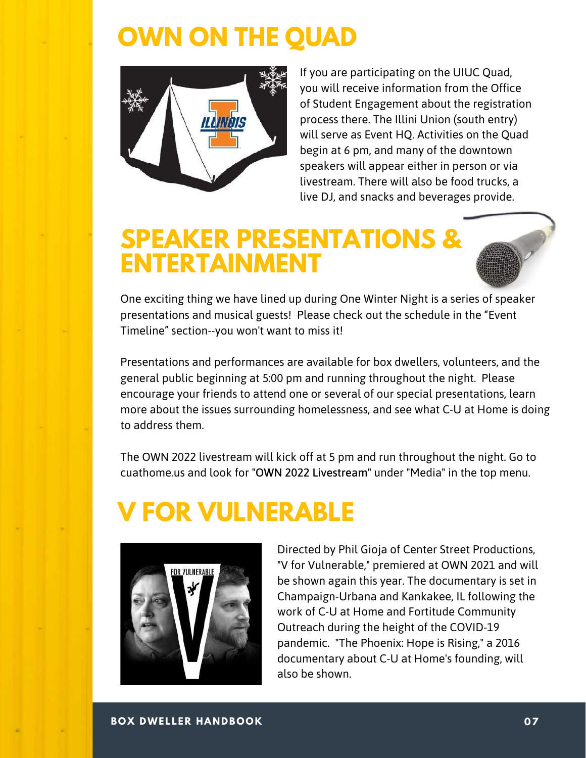### **OWN ON THE QUAD**



If you are participating on the UIUC Quad, you will receive information from the Office of Student Engagement about the registration process there. The Illini Union (south entry) will serve as Event HQ. Activities on the Quad begin at 6 pm, and many of the downtown speakers will appear either in person or via livestream. There will also be food trucks, a live DJ, and snacks and beverages provide.

### **SPEAKER PRESENTATIONS & ENTERTAINMENT**

One exciting thing we have lined up during One Winter Night is a series of speaker presentations and musical guests! Please check out the schedule in the "Event Timeline" section--you won't want to miss it!

Presentations and performances are available for box dwellers, volunteers, and the general public beginning at 5:00 pm and running throughout the night. Please encourage your friends to attend one or several of our special presentations, learn more about the issues surrounding homelessness, and see what C-U at Home is doing to address them.

The OWN 2022 livestream will kick off at 5 pm and run throughout the night. Go to cuathome.us and look for "OWN 2022 Livestream" under "Media" in the top menu.

# **V FOR VULNERABLE**



pandemic. "The Phoenix: Hope is Rising," a 2016 Directed by Phil Gioja of Center Street Productions, "V for Vulnerable," premiered at OWN 2021 and will be shown again this year. The documentary is set in Champaign-Urbana and Kankakee, IL following the work of C-U at Home and Fortitude Community Outreach during the height of the COVID-19 documentary about C-U at Home's founding, will also be shown.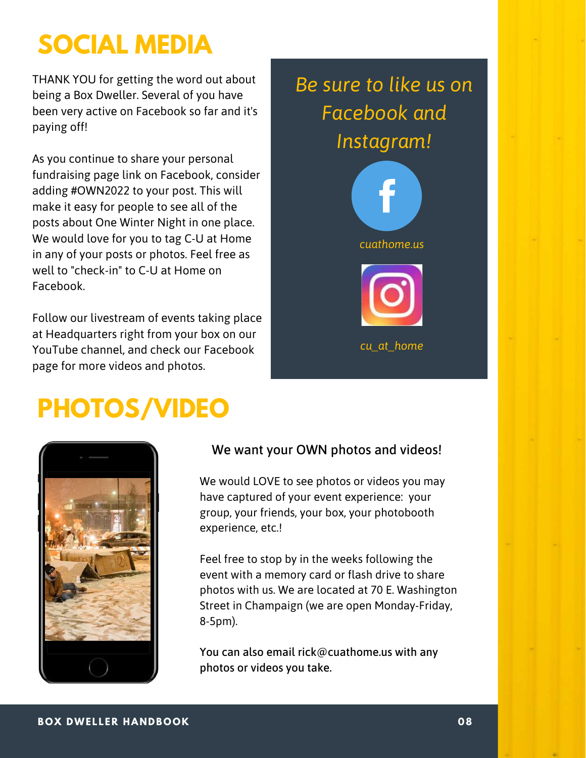# **SOCIAL MEDIA**

THANK YOU for getting the word out about being a Box Dweller. Several of you have been very active on Facebook so far and it's paying off!

As you continue to share your personal fundraising page link on Facebook, consider adding #OWN2022 to your post. This will make it easy for people to see all of the posts about One Winter Night in one place. We would love for you to tag C-U at Home in any of your posts or photos. Feel free as well to "check-in" to C-U at Home on Facebook.

**25,200** Follow our livestream of events taking place at Headquarters right from your box on our YouTube channel, and check our Facebook page for more videos and photos.

# **PHOTOS/VIDEO**



### We want your OWN photos and videos!

We would LOVE to see photos or videos you may have captured of your event experience: your group, your friends, your box, your photobooth experience, etc.!

Feel free to stop by in the weeks following the event with a memory card or flash drive to share photos with us. We are located at 70 E. Washington Street in Champaign (we are open Monday-Friday, 8-5pm).

You can also email rick@cuathome.us with any photos or videos you take.







*cu\_at\_home*